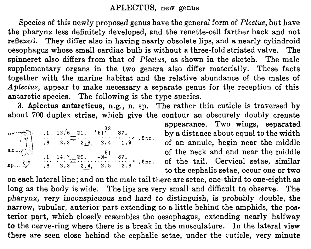## APLECTUS, new genus

Species of this newly proposed genus have the general form of Plectus, but have the pharynx less definitely developed, and the renette-cell farther back and not reflexed. They differ also in having nearly obsolete lips, and a nearly cylindroid oesophagus whose small cardiac bulb is without a three-fold striated valve. The spinneret also differs from that of  $Plectus$ , as shown in the sketch. The male supplementary organs in the two genera also differ materially. These facts together with the marine habitat and the relative abundance of the males of Aplectus, appear to make necessary a separate genus for the reception of this antarctic species. The following is the type species.

3. Aplectus antarcticus, n.g., n. sp. The rather thin cuticle is traversed by about 700 duplex striae, which give the contour an obscurely doubly crenate

| oe $\begin{array}{ c c c c c }\n\hline\n\text{over 1} & \text{.1} & \text{.12.6} & \text{.21.} & \text{.61} & \text{.87.} \\ \hline\n\text{at } & \text{.8} & \text{.2.2} & \text{.2.3,} & \text{.2.4} & \text{.1.9} & \text{.6.5.} \\ \text{at } & & & & & \\ \hline\n\end{array}$ |  |
|-------------------------------------------------------------------------------------------------------------------------------------------------------------------------------------------------------------------------------------------------------------------------------------|--|
|                                                                                                                                                                                                                                                                                     |  |
|                                                                                                                                                                                                                                                                                     |  |
| sp $\frac{1}{2}$ $\frac{1}{1}$ $\frac{1}{4}$ $\frac{20}{12}$ $\frac{51}{12}$ 87.<br>sp $\frac{3}{2}$ 8 2.3 2.4, 2.5 2.6 .6 ma.                                                                                                                                                      |  |

appearance. Two wings, separated by a distance about equal to the width of an annule, begin near the middle of the neck and end near the middle of the tail. Cervical setae, similar to the cephalic setae, occur one or two

on each lateral line; and on the male tail there are setae, one-third to one-eighth as long as the body is wide. The lips are very small and difficult to observe. The pharynx, very inconspicuous and hard to distinguish, is probably double, the narrow, tubular, anterior part extending to a little behind the amphids, the posterior part, which closely resembles the oesophagus, extending nearly halfway to the nerve-ring where there is a break in the musculature. In the lateral view there are seen close behind the cephalic setae, under the cuticle, very minute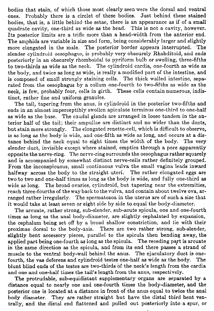bodies that stain, of which those most clearly seen were the dorsal and ventral ones. Probably there is a circlet of these bodies. Just behind these stained bodies, that is, a little behind the setae, there is an appearance as if of a small quadrate cavity, one-third as wide as the head. This is not a cavity, however. Its posterior limits are a trifle more than a head-width from the anterior end. The amphids are variable in size and form, being considerably larger and slightly more elongated in the male. The posterior border appears interrupted. slender cylindroid oesophagus, is probably very obscurely Rhabditoid, and ends posteriorly in an obscurely rhomboidal to pyriform bulb or swelling, three-fifths to two-thirds as wide as the neck. The cylindroid Cardia, one-fourth as wide as the body, and twice as long as wide, is really a modified part of the intestine, and is composed of small strongly staining cells. The thick walled intestine, separated from the oesophagus by a collum one-fourth to two-fifths as wide as the neck, is few, probably four, cells in girth. These cells contain numerous, indistinct, rather fine and uniform granules.

The tail, tapering from the anus, is cylindroid in the posterior two-fifths and ends in an almost imperceptibly swollen apiculate terminus one-third to one-half as wide as the base. The caudal glands are arranged in loose tandem in the anterior half of the tail; their ampullae are distinct and no wider than the ducts, but stain more strongly. The elongated renette-cell, which is difficult to observe, is as long as the body is wide, and one-fifth as wide as long, and occurs at a distance behind the neck equal to eight times the width of the body. The very slender duct, invisible except where stained, empties through a pore apparently opposite the nerve-ring. The nerve-ring surrounds the oesophagus rather squarely and is accompanied by somewhat distinct nerve-cells rather definitely grouped. From the inconspicuous, small continuous vulva the small vagina leads inward halfway across the body to the straight uteri. The rather elongated eggs are two to two and one-half times as long as the body is wide, and fully one-third as wide as long. The broad ovaries, cylindroid, but tapering near the extremities, reach three-fourths of the way back to the vulva, and contain about twelve ova, arranged rather irregularly. The spermatozoa in the uterus are of such a size that it would take at least seven or eight side by side to equal the body-diameter.

The arcuate, rather strong, sub-slender, sub-acute spicula, one and one-fourth times as long as the anal body-diameter, are slightly cephalated by expansion, the cephalum being set off by a broad shallow constriction, and lie with their proximae dorsal to the body-axis. There are two rather strong, sub-slender, slightly bent accessory pieces, parallel to the spicula then bending away, the applied part being one-fourth as long as the spicula. The receding part is arcuate in the same direction as the spicula, and from its end there passes a strand of muscle to the ventral body-wall behind the anus. The ejaculatory duct is onefourth, the vas deferens and cylindroid testes one-half as wide as the body. The blunt blind ends of the testes are two-thirds of the neck's length from the cardia and one and one-half times the tail's length from the anus, respectively.

The protrudable, sub-equidistant supplementary organs are separated by a distance equal to nearly one and one-fourth times the body-diameter, and the posterior one is located at a distance in front of the anus equal to twice the anal body diameter. They are rather straight but have the distal third bent ventrally, and the distal end flattened and pulled out posteriorly into a spur, or